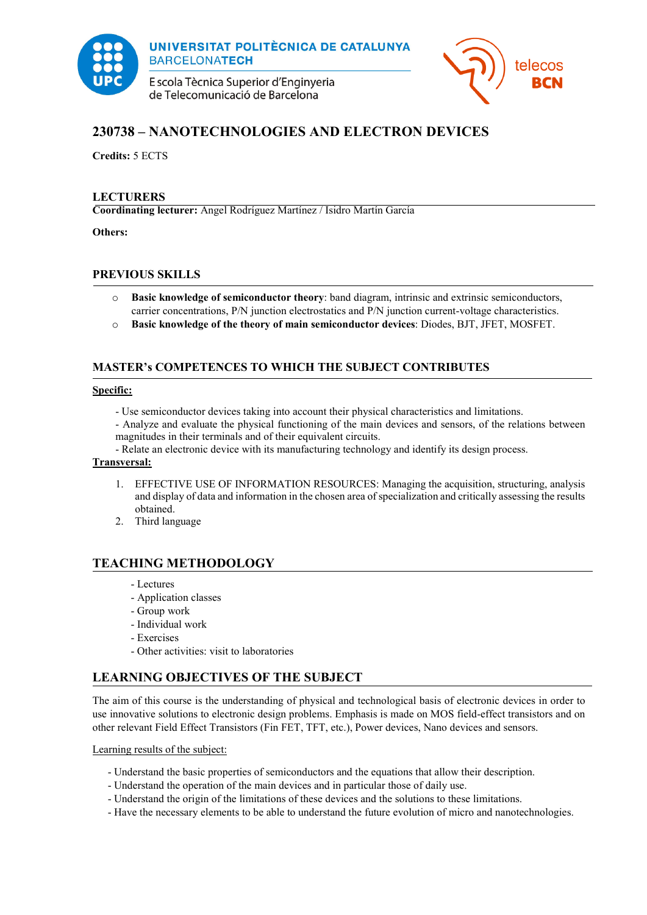

UNIVERSITAT POLITÈCNICA DE CATALUNYA **BARCELONATECH** 

E scola Tècnica Superior d'Enginyeria de Telecomunicació de Barcelona



# **230738 – NANOTECHNOLOGIES AND ELECTRON DEVICES**

**Credits:** 5 ECTS

#### **LECTURERS**

**Coordinating lecturer:** Angel Rodríguez Martínez / Isidro Martín García

**Others:**

## **PREVIOUS SKILLS**

- o **Basic knowledge of semiconductor theory**: band diagram, intrinsic and extrinsic semiconductors, carrier concentrations, P/N junction electrostatics and P/N junction current-voltage characteristics.
- o **Basic knowledge of the theory of main semiconductor devices**: Diodes, BJT, JFET, MOSFET.

## **MASTER's COMPETENCES TO WHICH THE SUBJECT CONTRIBUTES**

#### **Specific:**

- Use semiconductor devices taking into account their physical characteristics and limitations.
- Analyze and evaluate the physical functioning of the main devices and sensors, of the relations between magnitudes in their terminals and of their equivalent circuits.
- Relate an electronic device with its manufacturing technology and identify its design process.

#### **Transversal:**

- 1. EFFECTIVE USE OF INFORMATION RESOURCES: Managing the acquisition, structuring, analysis and display of data and information in the chosen area of specialization and critically assessing the results obtained.
- 2. Third language

## **TEACHING METHODOLOGY**

- Lectures
- Application classes
- Group work
- Individual work
- Exercises
- Other activities: visit to laboratories

## **LEARNING OBJECTIVES OF THE SUBJECT**

The aim of this course is the understanding of physical and technological basis of electronic devices in order to use innovative solutions to electronic design problems. Emphasis is made on MOS field-effect transistors and on other relevant Field Effect Transistors (Fin FET, TFT, etc.), Power devices, Nano devices and sensors.

Learning results of the subject:

- Understand the basic properties of semiconductors and the equations that allow their description.
- Understand the operation of the main devices and in particular those of daily use.
- Understand the origin of the limitations of these devices and the solutions to these limitations.
- Have the necessary elements to be able to understand the future evolution of micro and nanotechnologies.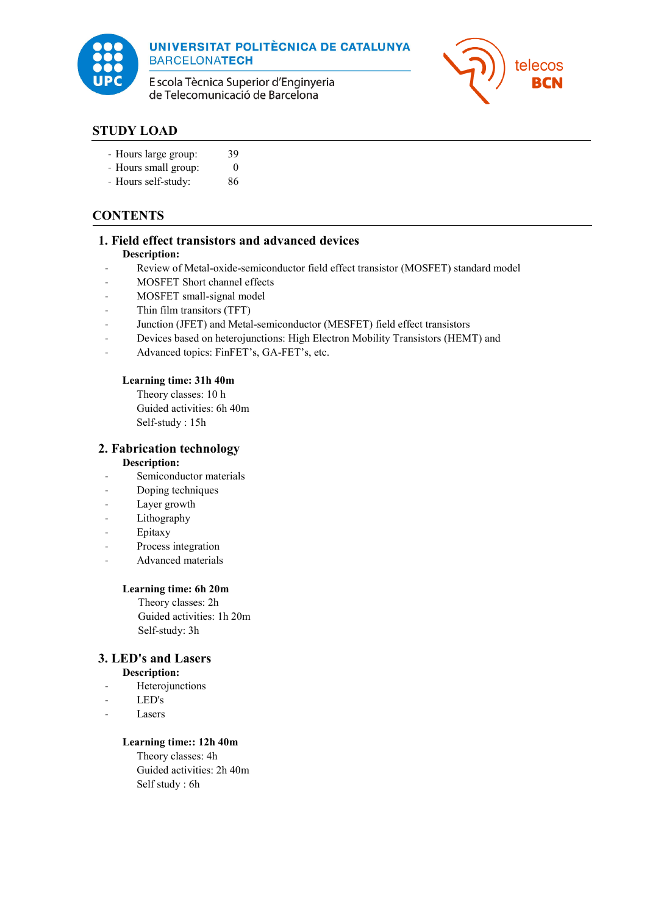

UNIVERSITAT POLITÈCNICA DE CATALUNYA **BARCELONATECH** 

E scola Tècnica Superior d'Enginyeria de Telecomunicació de Barcelona



# **STUDY LOAD**

- Hours large group: 39
- Hours small group: 0
- Hours self-study: 86

# **CONTENTS**

## **1. Field effect transistors and advanced devices**

## **Description:**

- Review of Metal-oxide-semiconductor field effect transistor (MOSFET) standard model
- MOSFET Short channel effects
- MOSFET small-signal model
- Thin film transitors (TFT)
- Junction (JFET) and Metal-semiconductor (MESFET) field effect transistors
- Devices based on heterojunctions: High Electron Mobility Transistors (HEMT) and
- Advanced topics: FinFET's, GA-FET's, etc.

#### **Learning time: 31h 40m**

Theory classes: 10 h Guided activities: 6h 40m Self-study : 15h

## **2. Fabrication technology**

#### **Description:**

- Semiconductor materials
- Doping techniques
- Layer growth
- Lithography
- Epitaxy
- Process integration
- Advanced materials

## **Learning time: 6h 20m**

Theory classes: 2h Guided activities: 1h 20m Self-study: 3h

## **3. LED's and Lasers**

## **Description:**

- **Heterojunctions**
- LED's
- **Lasers**

## **Learning time:: 12h 40m**

Theory classes: 4h Guided activities: 2h 40m Self study : 6h